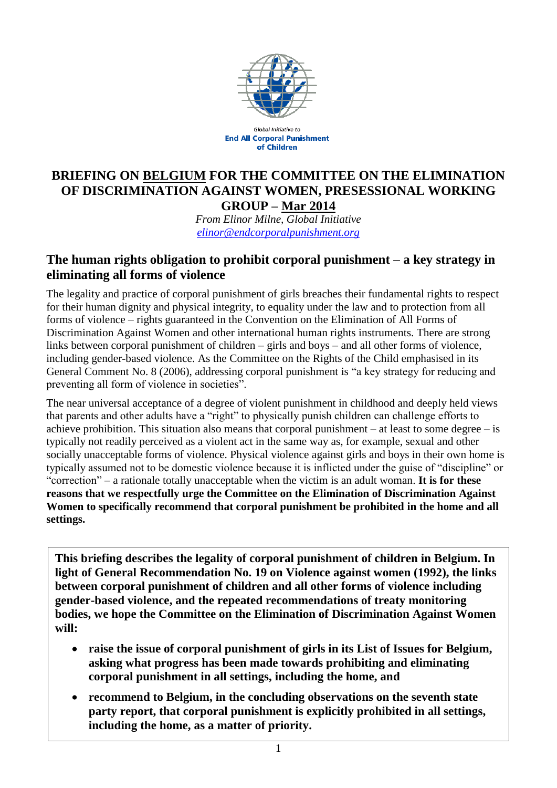

**Global Initiative to End All Corporal Punishment** of Children

## **BRIEFING ON BELGIUM FOR THE COMMITTEE ON THE ELIMINATION OF DISCRIMINATION AGAINST WOMEN, PRESESSIONAL WORKING GROUP – Mar 2014**

*From Elinor Milne, Global Initiative [elinor@endcorporalpunishment.org](mailto:elinor@endcorporalpunishment.org)*

## **The human rights obligation to prohibit corporal punishment – a key strategy in eliminating all forms of violence**

The legality and practice of corporal punishment of girls breaches their fundamental rights to respect for their human dignity and physical integrity, to equality under the law and to protection from all forms of violence – rights guaranteed in the Convention on the Elimination of All Forms of Discrimination Against Women and other international human rights instruments. There are strong links between corporal punishment of children – girls and boys – and all other forms of violence, including gender-based violence. As the Committee on the Rights of the Child emphasised in its General Comment No. 8 (2006), addressing corporal punishment is "a key strategy for reducing and preventing all form of violence in societies".

The near universal acceptance of a degree of violent punishment in childhood and deeply held views that parents and other adults have a "right" to physically punish children can challenge efforts to achieve prohibition. This situation also means that corporal punishment – at least to some degree – is typically not readily perceived as a violent act in the same way as, for example, sexual and other socially unacceptable forms of violence. Physical violence against girls and boys in their own home is typically assumed not to be domestic violence because it is inflicted under the guise of "discipline" or "correction" – a rationale totally unacceptable when the victim is an adult woman. **It is for these reasons that we respectfully urge the Committee on the Elimination of Discrimination Against Women to specifically recommend that corporal punishment be prohibited in the home and all settings.**

**This briefing describes the legality of corporal punishment of children in Belgium. In light of General Recommendation No. 19 on Violence against women (1992), the links between corporal punishment of children and all other forms of violence including gender-based violence, and the repeated recommendations of treaty monitoring bodies, we hope the Committee on the Elimination of Discrimination Against Women will:**

- **raise the issue of corporal punishment of girls in its List of Issues for Belgium, asking what progress has been made towards prohibiting and eliminating corporal punishment in all settings, including the home, and**
- **recommend to Belgium, in the concluding observations on the seventh state party report, that corporal punishment is explicitly prohibited in all settings, including the home, as a matter of priority.**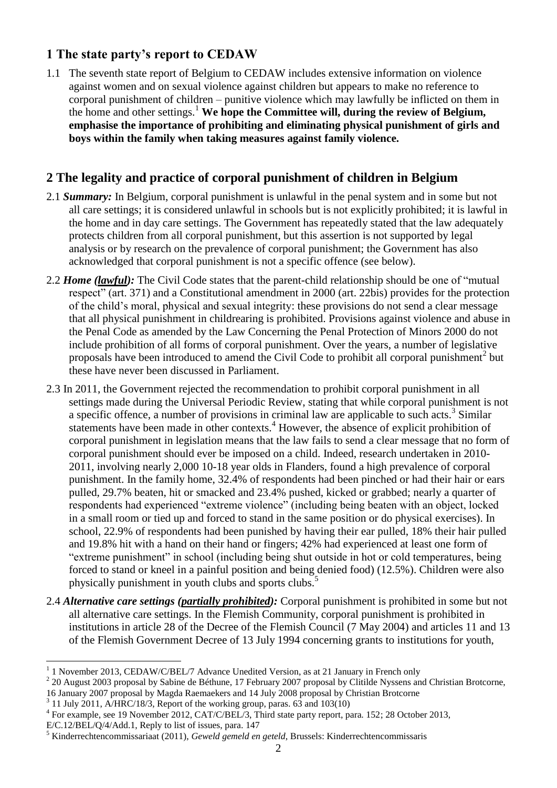# **1 The state party's report to CEDAW**

1.1 The seventh state report of Belgium to CEDAW includes extensive information on violence against women and on sexual violence against children but appears to make no reference to corporal punishment of children – punitive violence which may lawfully be inflicted on them in the home and other settings.<sup>1</sup> We hope the Committee will, during the review of Belgium, **emphasise the importance of prohibiting and eliminating physical punishment of girls and boys within the family when taking measures against family violence.**

## **2 The legality and practice of corporal punishment of children in Belgium**

- 2.1 *Summary:* In Belgium, corporal punishment is unlawful in the penal system and in some but not all care settings; it is considered unlawful in schools but is not explicitly prohibited; it is lawful in the home and in day care settings. The Government has repeatedly stated that the law adequately protects children from all corporal punishment, but this assertion is not supported by legal analysis or by research on the prevalence of corporal punishment; the Government has also acknowledged that corporal punishment is not a specific offence (see below).
- 2.2 *Home (lawful):* The Civil Code states that the parent-child relationship should be one of "mutual respect" (art. 371) and a Constitutional amendment in 2000 (art. 22bis) provides for the protection of the child's moral, physical and sexual integrity: these provisions do not send a clear message that all physical punishment in childrearing is prohibited. Provisions against violence and abuse in the Penal Code as amended by the Law Concerning the Penal Protection of Minors 2000 do not include prohibition of all forms of corporal punishment. Over the years, a number of legislative proposals have been introduced to amend the Civil Code to prohibit all corporal punishment<sup>2</sup> but these have never been discussed in Parliament.
- 2.3 In 2011, the Government rejected the recommendation to prohibit corporal punishment in all settings made during the Universal Periodic Review, stating that while corporal punishment is not a specific offence, a number of provisions in criminal law are applicable to such acts.<sup>3</sup> Similar statements have been made in other contexts.<sup>4</sup> However, the absence of explicit prohibition of corporal punishment in legislation means that the law fails to send a clear message that no form of corporal punishment should ever be imposed on a child. Indeed, research undertaken in 2010- 2011, involving nearly 2,000 10-18 year olds in Flanders, found a high prevalence of corporal punishment. In the family home, 32.4% of respondents had been pinched or had their hair or ears pulled, 29.7% beaten, hit or smacked and 23.4% pushed, kicked or grabbed; nearly a quarter of respondents had experienced "extreme violence" (including being beaten with an object, locked in a small room or tied up and forced to stand in the same position or do physical exercises). In school, 22.9% of respondents had been punished by having their ear pulled, 18% their hair pulled and 19.8% hit with a hand on their hand or fingers; 42% had experienced at least one form of "extreme punishment" in school (including being shut outside in hot or cold temperatures, being forced to stand or kneel in a painful position and being denied food) (12.5%). Children were also physically punishment in youth clubs and sports clubs.<sup>5</sup>
- 2.4 *Alternative care settings (partially prohibited):* Corporal punishment is prohibited in some but not all alternative care settings. In the Flemish Community, corporal punishment is prohibited in institutions in article 28 of the Decree of the Flemish Council (7 May 2004) and articles 11 and 13 of the Flemish Government Decree of 13 July 1994 concerning grants to institutions for youth,

 $\overline{a}$ 

<sup>1</sup> 1 November 2013, CEDAW/C/BEL/7 Advance Unedited Version, as at 21 January in French only

 $2$  20 August 2003 proposal by Sabine de Béthune, 17 February 2007 proposal by Clitilde Nyssens and Christian Brotcorne,

<sup>16</sup> January 2007 proposal by Magda Raemaekers and 14 July 2008 proposal by Christian Brotcorne

<sup>3</sup> 11 July 2011, A/HRC/18/3, Report of the working group, paras. 63 and 103(10)

<sup>&</sup>lt;sup>4</sup> For example, see 19 November 2012, CAT/C/BEL/3, Third state party report, para. 152; 28 October 2013,

E/C.12/BEL/Q/4/Add.1, Reply to list of issues, para. 147

<sup>5</sup> Kinderrechtencommissariaat (2011), *Geweld gemeld en geteld*, Brussels: Kinderrechtencommissaris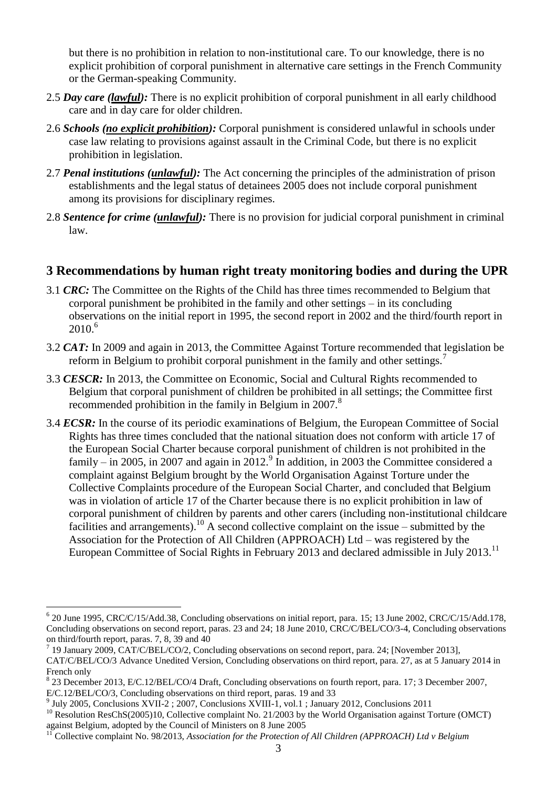but there is no prohibition in relation to non-institutional care. To our knowledge, there is no explicit prohibition of corporal punishment in alternative care settings in the French Community or the German-speaking Community.

- 2.5 *Day care (lawful):* There is no explicit prohibition of corporal punishment in all early childhood care and in day care for older children.
- 2.6 *Schools (no explicit prohibition):* Corporal punishment is considered unlawful in schools under case law relating to provisions against assault in the Criminal Code, but there is no explicit prohibition in legislation.
- 2.7 *Penal institutions (unlawful):* The Act concerning the principles of the administration of prison establishments and the legal status of detainees 2005 does not include corporal punishment among its provisions for disciplinary regimes.
- 2.8 *Sentence for crime (unlawful):* There is no provision for judicial corporal punishment in criminal law.

#### **3 Recommendations by human right treaty monitoring bodies and during the UPR**

- 3.1 *CRC:* The Committee on the Rights of the Child has three times recommended to Belgium that corporal punishment be prohibited in the family and other settings – in its concluding observations on the initial report in 1995, the second report in 2002 and the third/fourth report in  $2010^{6}$
- 3.2 *CAT:* In 2009 and again in 2013, the Committee Against Torture recommended that legislation be reform in Belgium to prohibit corporal punishment in the family and other settings.<sup>7</sup>
- 3.3 *CESCR:* In 2013, the Committee on Economic, Social and Cultural Rights recommended to Belgium that corporal punishment of children be prohibited in all settings; the Committee first recommended prohibition in the family in Belgium in 2007.<sup>8</sup>
- 3.4 *ECSR:* In the course of its periodic examinations of Belgium, the European Committee of Social Rights has three times concluded that the national situation does not conform with article 17 of the European Social Charter because corporal punishment of children is not prohibited in the family  $-\text{in } 2005$ , in 2007 and again in 2012. In addition, in 2003 the Committee considered a complaint against Belgium brought by the World Organisation Against Torture under the Collective Complaints procedure of the European Social Charter, and concluded that Belgium was in violation of article 17 of the Charter because there is no explicit prohibition in law of corporal punishment of children by parents and other carers (including non-institutional childcare facilities and arrangements).<sup>10</sup> A second collective complaint on the issue – submitted by the Association for the Protection of All Children (APPROACH) Ltd – was registered by the European Committee of Social Rights in February 2013 and declared admissible in July 2013.<sup>11</sup>

 $\overline{a}$ 

<sup>6</sup> 20 June 1995, CRC/C/15/Add.38, Concluding observations on initial report, para. 15; 13 June 2002, CRC/C/15/Add.178, Concluding observations on second report, paras. 23 and 24; 18 June 2010, CRC/C/BEL/CO/3-4, Concluding observations on third/fourth report, paras. 7, 8, 39 and 40

<sup>7</sup> 19 January 2009, CAT/C/BEL/CO/2, Concluding observations on second report, para. 24; [November 2013], CAT/C/BEL/CO/3 Advance Unedited Version, Concluding observations on third report, para. 27, as at 5 January 2014 in French only

<sup>8</sup> 23 December 2013, E/C.12/BEL/CO/4 Draft, Concluding observations on fourth report, para. 17; 3 December 2007, E/C.12/BEL/CO/3, Concluding observations on third report, paras. 19 and 33

<sup>9</sup> July 2005, Conclusions XVII-2 ; 2007, Conclusions XVIII-1, vol.1 ; January 2012, Conclusions 2011

<sup>&</sup>lt;sup>10</sup> Resolution ResChS(2005)10, Collective complaint No. 21/2003 by the World Organisation against Torture (OMCT) against Belgium, adopted by the Council of Ministers on 8 June 2005

<sup>11</sup> Collective complaint No. 98/2013, *Association for the Protection of All Children (APPROACH) Ltd v Belgium*